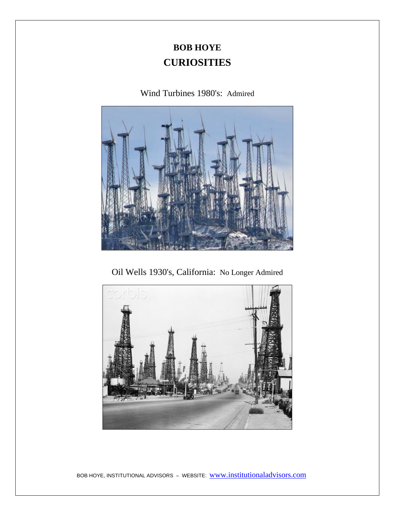# **BOB HOYE CURIOSITIES**

## Wind Turbines 1980's: Admired



Oil Wells 1930's, California: No Longer Admired

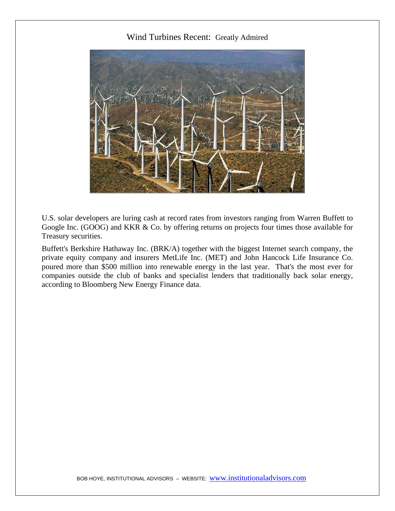#### Wind Turbines Recent: Greatly Admired



U.S. solar developers are luring cash at record rates from investors ranging from Warren Buffett to Google Inc. (GOOG) and KKR & Co. by offering returns on projects four times those available for Treasury securities.

Buffett's Berkshire Hathaway Inc. (BRK/A) together with the biggest Internet search company, the private equity company and insurers MetLife Inc. (MET) and John Hancock Life Insurance Co. poured more than \$500 million into renewable energy in the last year. That's the most ever for companies outside the club of banks and specialist lenders that traditionally back solar energy, according to Bloomberg New Energy Finance data.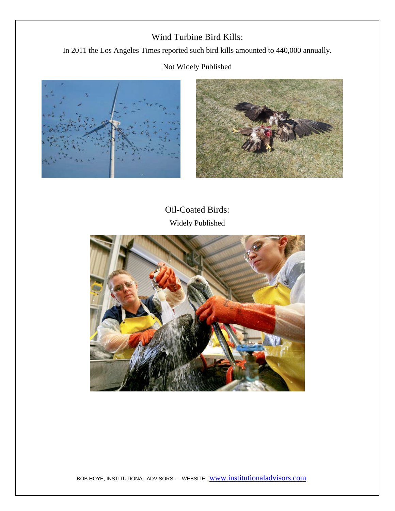## Wind Turbine Bird Kills:

In 2011 the Los Angeles Times reported such bird kills amounted to 440,000 annually.

#### Not Widely Published





Oil-Coated Birds: Widely Published

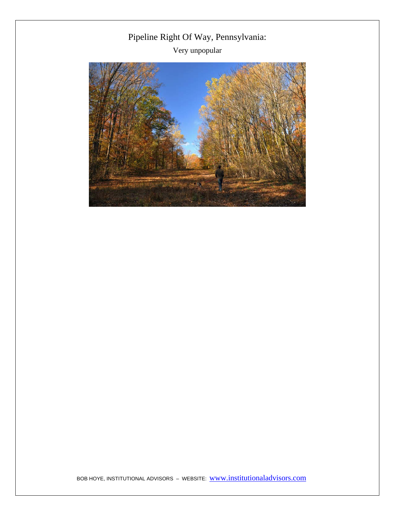Pipeline Right Of Way, Pennsylvania: Very unpopular

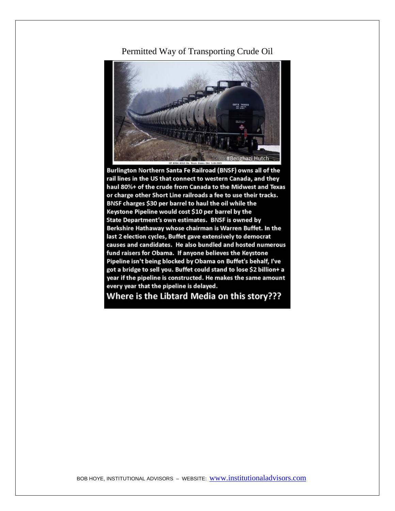#### Permitted Way of Transporting Crude Oil



Burlington Northern Santa Fe Railroad (BNSF) owns all of the rail lines in the US that connect to western Canada, and they haul 80%+ of the crude from Canada to the Midwest and Texas or charge other Short Line railroads a fee to use their tracks. BNSF charges \$30 per barrel to haul the oil while the Keystone Pipeline would cost \$10 per barrel by the State Department's own estimates. BNSF is owned by Berkshire Hathaway whose chairman is Warren Buffet. In the last 2 election cycles, Buffet gave extensively to democrat causes and candidates. He also bundled and hosted numerous fund raisers for Obama. If anyone believes the Keystone Pipeline isn't being blocked by Obama on Buffet's behalf, I've got a bridge to sell you. Buffet could stand to lose \$2 billion+ a year if the pipeline is constructed. He makes the same amount every year that the pipeline is delayed.

Where is the Libtard Media on this story???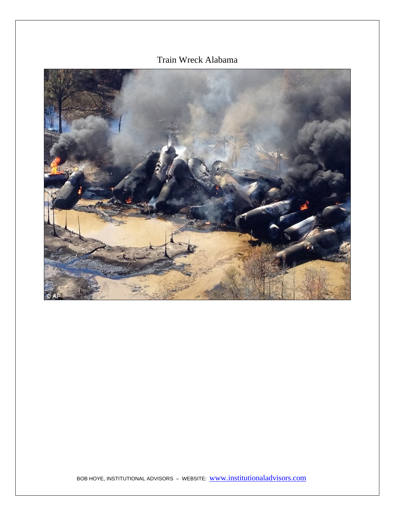## Train Wreck Alabama